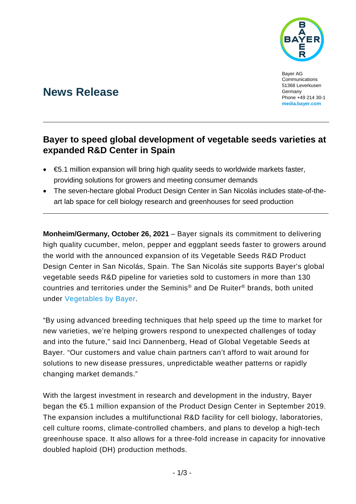

Bayer AG Communications 51368 Leverkusen Germany Phone +49 214 30-1 **[media.bayer.com](http://media.bayer.com/)**

# **News Release**

## **Bayer to speed global development of vegetable seeds varieties at expanded R&D Center in Spain**

- €5.1 million expansion will bring high quality seeds to worldwide markets faster, providing solutions for growers and meeting consumer demands
- The seven-hectare global Product Design Center in San Nicolás includes state-of-theart lab space for cell biology research and greenhouses for seed production

**Monheim/Germany, October 26, 2021** – Bayer signals its commitment to delivering high quality cucumber, melon, pepper and eggplant seeds faster to growers around the world with the announced expansion of its Vegetable Seeds R&D Product Design Center in San Nicolás, Spain. The San Nicolás site supports Bayer's global vegetable seeds R&D pipeline for varieties sold to customers in more than 130 countries and territories under the Seminis® and De Ruiter® brands, both united under [Vegetables by Bayer.](https://www.vegetables.bayer.com/country-language-selector.html)

"By using advanced breeding techniques that help speed up the time to market for new varieties, we're helping growers respond to unexpected challenges of today and into the future," said Inci Dannenberg, Head of Global Vegetable Seeds at Bayer. "Our customers and value chain partners can't afford to wait around for solutions to new disease pressures, unpredictable weather patterns or rapidly changing market demands."

With the largest investment in research and development in the industry, Bayer began the €5.1 million expansion of the Product Design Center in September 2019. The expansion includes a multifunctional R&D facility for cell biology, laboratories, cell culture rooms, climate-controlled chambers, and plans to develop a high-tech greenhouse space. It also allows for a three-fold increase in capacity for innovative doubled haploid (DH) production methods.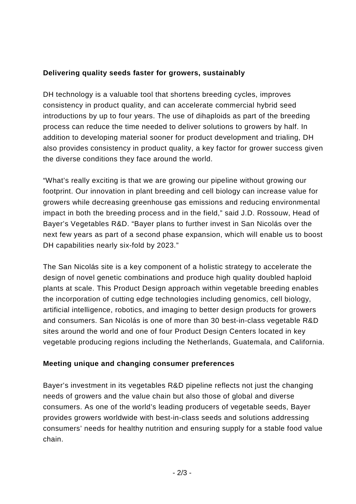#### **Delivering quality seeds faster for growers, sustainably**

DH technology is a valuable tool that shortens breeding cycles, improves consistency in product quality, and can accelerate commercial hybrid seed introductions by up to four years. The use of dihaploids as part of the breeding process can reduce the time needed to deliver solutions to growers by half. In addition to developing material sooner for product development and trialing, DH also provides consistency in product quality, a key factor for grower success given the diverse conditions they face around the world.

"What's really exciting is that we are growing our pipeline without growing our footprint. Our innovation in plant breeding and cell biology can increase value for growers while decreasing greenhouse gas emissions and reducing environmental impact in both the breeding process and in the field," said J.D. Rossouw, Head of Bayer's Vegetables R&D. "Bayer plans to further invest in San Nicolás over the next few years as part of a second phase expansion, which will enable us to boost DH capabilities nearly six-fold by 2023."

The San Nicolás site is a key component of a holistic strategy to accelerate the design of novel genetic combinations and produce high quality doubled haploid plants at scale. This Product Design approach within vegetable breeding enables the incorporation of cutting edge technologies including genomics, cell biology, artificial intelligence, robotics, and imaging to better design products for growers and consumers. San Nicolás is one of more than 30 best-in-class vegetable R&D sites around the world and one of four Product Design Centers located in key vegetable producing regions including the Netherlands, Guatemala, and California.

#### **Meeting unique and changing consumer preferences**

Bayer's investment in its vegetables R&D pipeline reflects not just the changing needs of growers and the value chain but also those of global and diverse consumers. As one of the world's leading producers of vegetable seeds, Bayer provides growers worldwide with best-in-class seeds and solutions addressing consumers' needs for healthy nutrition and ensuring supply for a stable food value chain.